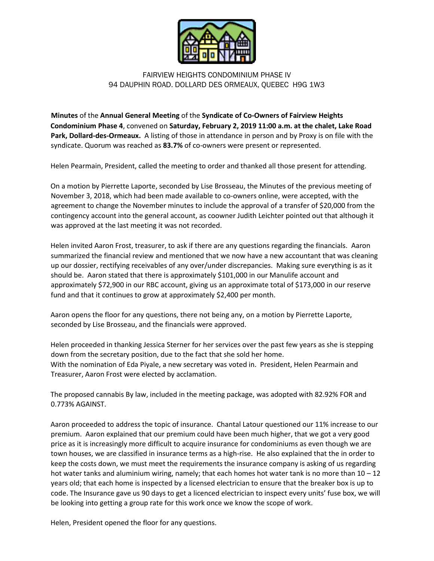

## FAIRVIEW HEIGHTS CONDOMINIUM PHASE IV 94 DAUPHIN ROAD. DOLLARD DES ORMEAUX, QUEBEC H9G 1W3

**Minutes** of the **Annual General Meeting** of the **Syndicate of Co-Owners of Fairview Heights Condominium Phase 4**, convened on **Saturday, February 2, 2019 11:00 a.m. at the chalet, Lake Road Park, Dollard-des-Ormeaux.** A listing of those in attendance in person and by Proxy is on file with the syndicate. Quorum was reached as **83.7%** of co-owners were present or represented.

Helen Pearmain, President, called the meeting to order and thanked all those present for attending.

On a motion by Pierrette Laporte, seconded by Lise Brosseau, the Minutes of the previous meeting of November 3, 2018, which had been made available to co-owners online, were accepted, with the agreement to change the November minutes to include the approval of a transfer of \$20,000 from the contingency account into the general account, as coowner Judith Leichter pointed out that although it was approved at the last meeting it was not recorded.

Helen invited Aaron Frost, treasurer, to ask if there are any questions regarding the financials. Aaron summarized the financial review and mentioned that we now have a new accountant that was cleaning up our dossier, rectifying receivables of any over/under discrepancies. Making sure everything is as it should be. Aaron stated that there is approximately \$101,000 in our Manulife account and approximately \$72,900 in our RBC account, giving us an approximate total of \$173,000 in our reserve fund and that it continues to grow at approximately \$2,400 per month.

Aaron opens the floor for any questions, there not being any, on a motion by Pierrette Laporte, seconded by Lise Brosseau, and the financials were approved.

Helen proceeded in thanking Jessica Sterner for her services over the past few years as she is stepping down from the secretary position, due to the fact that she sold her home. With the nomination of Eda Piyale, a new secretary was voted in. President, Helen Pearmain and Treasurer, Aaron Frost were elected by acclamation.

The proposed cannabis By law, included in the meeting package, was adopted with 82.92% FOR and 0.773% AGAINST.

Aaron proceeded to address the topic of insurance. Chantal Latour questioned our 11% increase to our premium. Aaron explained that our premium could have been much higher, that we got a very good price as it is increasingly more difficult to acquire insurance for condominiums as even though we are town houses, we are classified in insurance terms as a high-rise. He also explained that the in order to keep the costs down, we must meet the requirements the insurance company is asking of us regarding hot water tanks and aluminium wiring, namely; that each homes hot water tank is no more than  $10 - 12$ years old; that each home is inspected by a licensed electrician to ensure that the breaker box is up to code. The Insurance gave us 90 days to get a licenced electrician to inspect every units' fuse box, we will be looking into getting a group rate for this work once we know the scope of work.

Helen, President opened the floor for any questions.